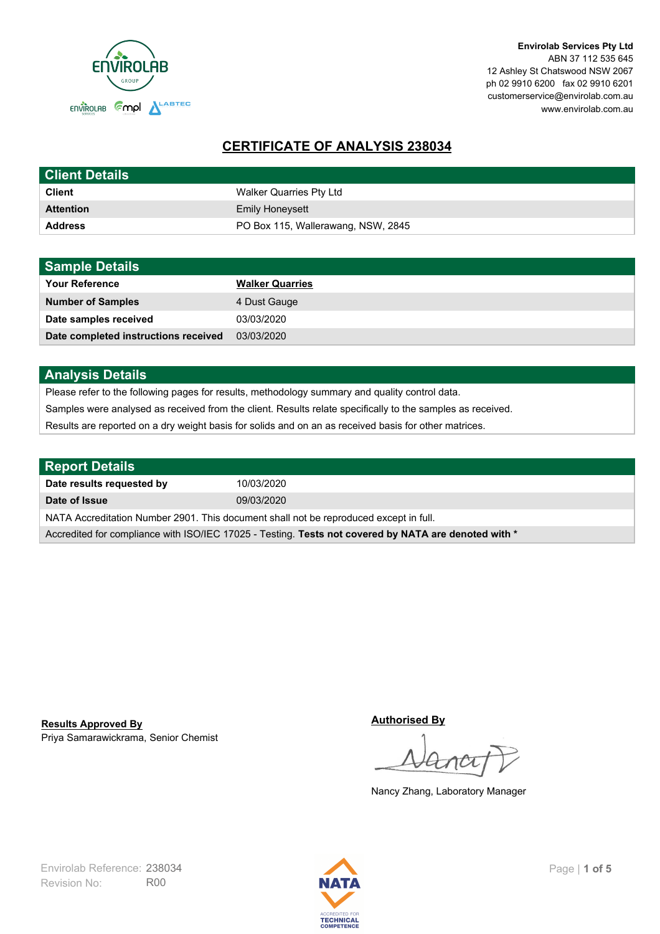

**Envirolab Services Pty Ltd** ABN 37 112 535 645 12 Ashley St Chatswood NSW 2067 ph 02 9910 6200 fax 02 9910 6201 customerservice@envirolab.com.au www.envirolab.com.au

# **CERTIFICATE OF ANALYSIS 238034**

| <b>Client Details</b> |                                    |
|-----------------------|------------------------------------|
| <b>Client</b>         | Walker Quarries Pty Ltd            |
| <b>Attention</b>      | <b>Emily Honeysett</b>             |
| <b>Address</b>        | PO Box 115, Wallerawang, NSW, 2845 |

| <b>Sample Details</b>                |                        |
|--------------------------------------|------------------------|
| <b>Your Reference</b>                | <b>Walker Quarries</b> |
| <b>Number of Samples</b>             | 4 Dust Gauge           |
| Date samples received                | 03/03/2020             |
| Date completed instructions received | 03/03/2020             |

## **Analysis Details**

Please refer to the following pages for results, methodology summary and quality control data.

Samples were analysed as received from the client. Results relate specifically to the samples as received.

Results are reported on a dry weight basis for solids and on an as received basis for other matrices.

| <b>Report Details</b>                                                                                |            |  |
|------------------------------------------------------------------------------------------------------|------------|--|
| Date results requested by                                                                            | 10/03/2020 |  |
| Date of Issue                                                                                        | 09/03/2020 |  |
| NATA Accreditation Number 2901. This document shall not be reproduced except in full.                |            |  |
| Accredited for compliance with ISO/IEC 17025 - Testing. Tests not covered by NATA are denoted with * |            |  |

Priya Samarawickrama, Senior Chemist **Results Approved By**

**Authorised By**

Nancy Zhang, Laboratory Manager

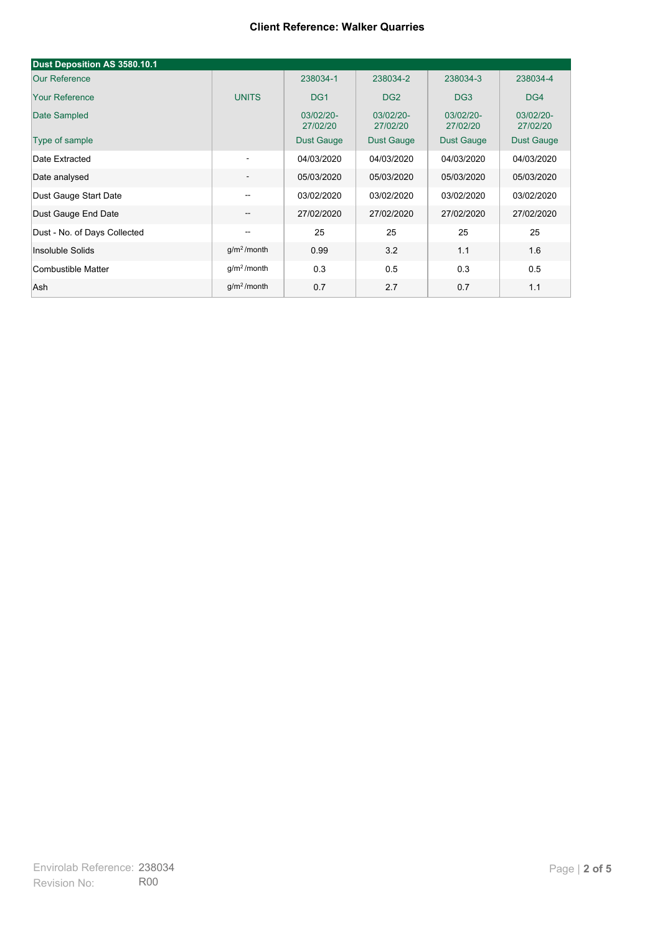| Dust Deposition AS 3580.10.1 |                          |                       |                       |                       |                       |
|------------------------------|--------------------------|-----------------------|-----------------------|-----------------------|-----------------------|
| <b>Our Reference</b>         |                          | 238034-1              | 238034-2              | 238034-3              | 238034-4              |
| <b>Your Reference</b>        | <b>UNITS</b>             | DG <sub>1</sub>       | DG <sub>2</sub>       | DG <sub>3</sub>       | DG4                   |
| Date Sampled                 |                          | 03/02/20-<br>27/02/20 | 03/02/20-<br>27/02/20 | 03/02/20-<br>27/02/20 | 03/02/20-<br>27/02/20 |
| Type of sample               |                          | <b>Dust Gauge</b>     | <b>Dust Gauge</b>     | <b>Dust Gauge</b>     | Dust Gauge            |
| Date Extracted               | $\overline{\phantom{a}}$ | 04/03/2020            | 04/03/2020            | 04/03/2020            | 04/03/2020            |
| Date analysed                | -                        | 05/03/2020            | 05/03/2020            | 05/03/2020            | 05/03/2020            |
| Dust Gauge Start Date        | --                       | 03/02/2020            | 03/02/2020            | 03/02/2020            | 03/02/2020            |
| Dust Gauge End Date          | $\overline{\phantom{a}}$ | 27/02/2020            | 27/02/2020            | 27/02/2020            | 27/02/2020            |
| Dust - No. of Days Collected | $\overline{\phantom{m}}$ | 25                    | 25                    | 25                    | 25                    |
| Insoluble Solids             | g/m <sup>2</sup> /month  | 0.99                  | 3.2                   | 1.1                   | 1.6                   |
| Combustible Matter           | g/m <sup>2</sup> /month  | 0.3                   | 0.5                   | 0.3                   | 0.5                   |
| Ash                          | g/m <sup>2</sup> /month  | 0.7                   | 2.7                   | 0.7                   | 1.1                   |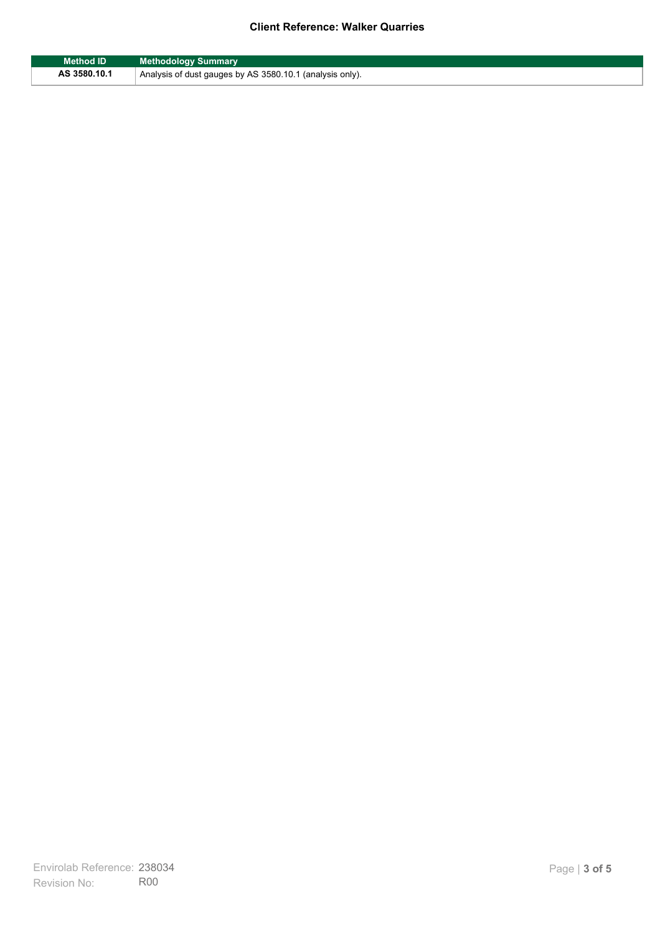| <b>Method ID</b> | <b>Methodology Summary</b>                               |
|------------------|----------------------------------------------------------|
| AS 3580.10.1     | Analysis of dust gauges by AS 3580.10.1 (analysis only). |

F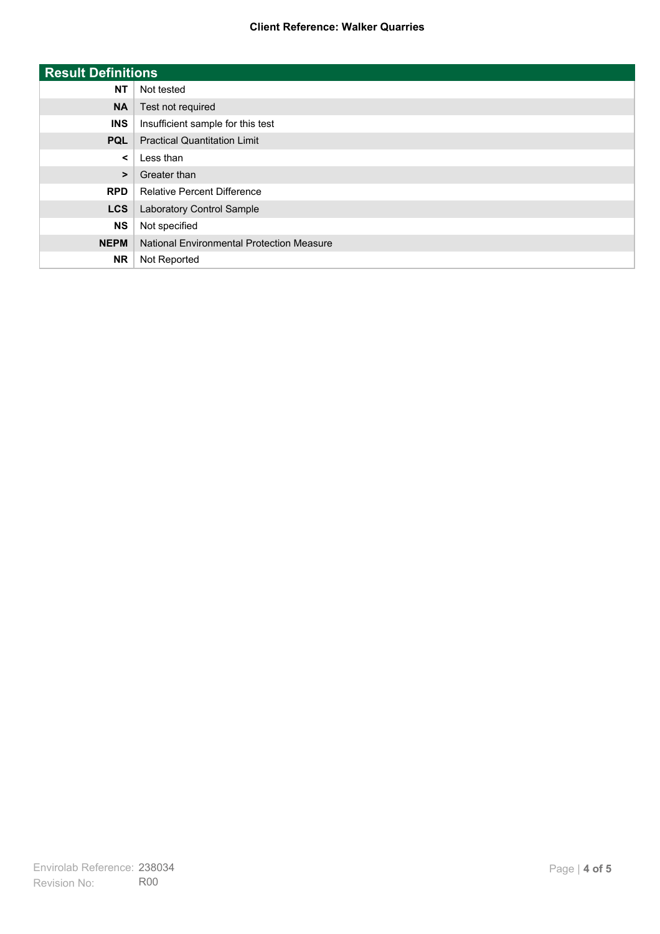| <b>Result Definitions</b> |                                           |
|---------------------------|-------------------------------------------|
| <b>NT</b>                 | Not tested                                |
| <b>NA</b>                 | Test not required                         |
| <b>INS</b>                | Insufficient sample for this test         |
| <b>PQL</b>                | <b>Practical Quantitation Limit</b>       |
| $\prec$                   | Less than                                 |
| $\geq$                    | Greater than                              |
| <b>RPD</b>                | <b>Relative Percent Difference</b>        |
| <b>LCS</b>                | Laboratory Control Sample                 |
| <b>NS</b>                 | Not specified                             |
| <b>NEPM</b>               | National Environmental Protection Measure |
| <b>NR</b>                 | Not Reported                              |